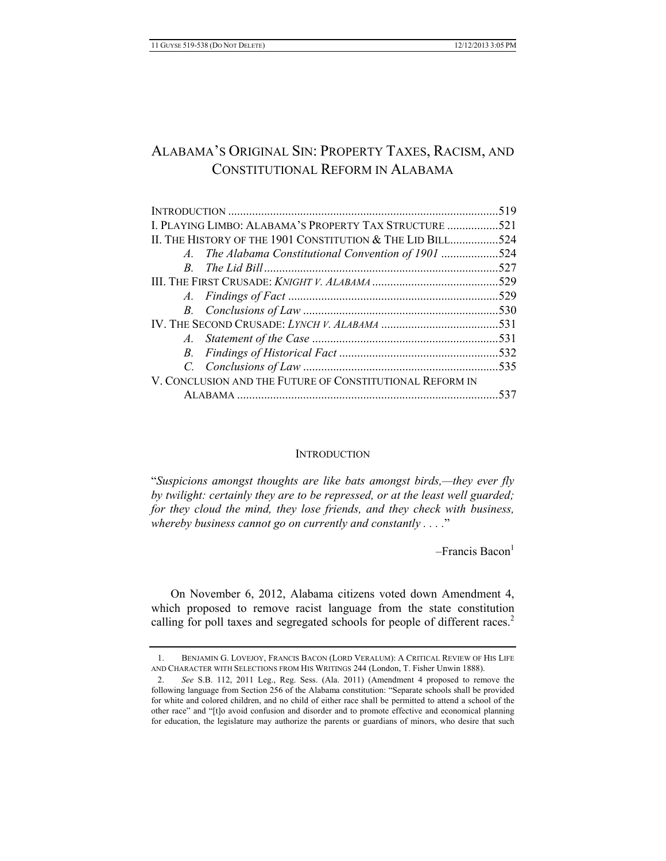# ALABAMA'S ORIGINAL SIN: PROPERTY TAXES, RACISM, AND CONSTITUTIONAL REFORM IN ALABAMA

|                                                            | .519 |  |  |
|------------------------------------------------------------|------|--|--|
| I. PLAYING LIMBO: ALABAMA'S PROPERTY TAX STRUCTURE 521     |      |  |  |
| II. THE HISTORY OF THE 1901 CONSTITUTION & THE LID BILL524 |      |  |  |
| A. The Alabama Constitutional Convention of 1901 524       |      |  |  |
|                                                            | .527 |  |  |
|                                                            |      |  |  |
|                                                            |      |  |  |
|                                                            |      |  |  |
|                                                            |      |  |  |
|                                                            |      |  |  |
|                                                            |      |  |  |
|                                                            |      |  |  |
| V. CONCLUSION AND THE FUTURE OF CONSTITUTIONAL REFORM IN   |      |  |  |
|                                                            | 537  |  |  |

### **INTRODUCTION**

"*Suspicions amongst thoughts are like bats amongst birds,—they ever fly by twilight: certainly they are to be repressed, or at the least well guarded; for they cloud the mind, they lose friends, and they check with business, whereby business cannot go on currently and constantly . . . .*"

 $-$ Francis Bacon $<sup>1</sup>$ </sup>

On November 6, 2012, Alabama citizens voted down Amendment 4, which proposed to remove racist language from the state constitution calling for poll taxes and segregated schools for people of different races.<sup>2</sup>

<sup>1.</sup> BENJAMIN G. LOVEJOY, FRANCIS BACON (LORD VERALUM): A CRITICAL REVIEW OF HIS LIFE AND CHARACTER WITH SELECTIONS FROM HIS WRITINGS 244 (London, T. Fisher Unwin 1888).

<sup>2.</sup> *See* S.B. 112, 2011 Leg., Reg. Sess. (Ala. 2011) (Amendment 4 proposed to remove the following language from Section 256 of the Alabama constitution: "Separate schools shall be provided for white and colored children, and no child of either race shall be permitted to attend a school of the other race" and "[t]o avoid confusion and disorder and to promote effective and economical planning for education, the legislature may authorize the parents or guardians of minors, who desire that such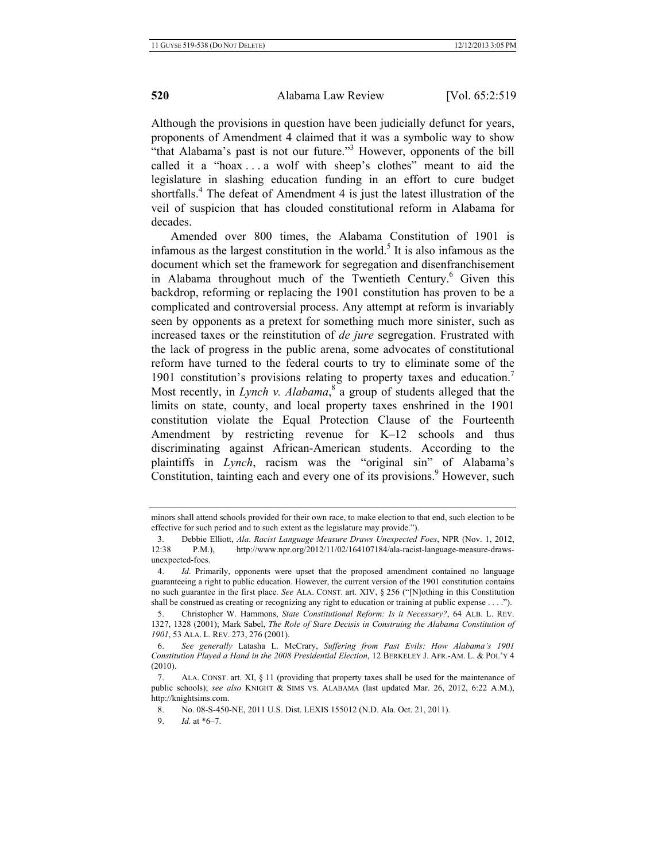Although the provisions in question have been judicially defunct for years, proponents of Amendment 4 claimed that it was a symbolic way to show "that Alabama's past is not our future."<sup>3</sup> However, opponents of the bill called it a "hoax . . . a wolf with sheep's clothes" meant to aid the legislature in slashing education funding in an effort to cure budget shortfalls.<sup>4</sup> The defeat of Amendment 4 is just the latest illustration of the veil of suspicion that has clouded constitutional reform in Alabama for decades.

Amended over 800 times, the Alabama Constitution of 1901 is infamous as the largest constitution in the world.<sup>5</sup> It is also infamous as the document which set the framework for segregation and disenfranchisement in Alabama throughout much of the Twentieth Century.<sup>6</sup> Given this backdrop, reforming or replacing the 1901 constitution has proven to be a complicated and controversial process. Any attempt at reform is invariably seen by opponents as a pretext for something much more sinister, such as increased taxes or the reinstitution of *de jure* segregation. Frustrated with the lack of progress in the public arena, some advocates of constitutional reform have turned to the federal courts to try to eliminate some of the 1901 constitution's provisions relating to property taxes and education.<sup>7</sup> Most recently, in *Lynch v. Alabama*,<sup>8</sup> a group of students alleged that the limits on state, county, and local property taxes enshrined in the 1901 constitution violate the Equal Protection Clause of the Fourteenth Amendment by restricting revenue for K–12 schools and thus discriminating against African-American students. According to the plaintiffs in *Lynch*, racism was the "original sin" of Alabama's Constitution, tainting each and every one of its provisions.<sup>9</sup> However, such

minors shall attend schools provided for their own race, to make election to that end, such election to be effective for such period and to such extent as the legislature may provide.").

<sup>3.</sup> Debbie Elliott, *Ala*. *Racist Language Measure Draws Unexpected Foes*, NPR (Nov. 1, 2012, 12:38 P.M.), http://www.npr.org/2012/11/02/164107184/ala-racist-language-measure-drawsunexpected-foes.

<sup>4.</sup> *Id*. Primarily, opponents were upset that the proposed amendment contained no language guaranteeing a right to public education. However, the current version of the 1901 constitution contains no such guarantee in the first place. *See* ALA. CONST. art. XIV, § 256 ("[N]othing in this Constitution shall be construed as creating or recognizing any right to education or training at public expense . . . .").

<sup>5.</sup> Christopher W. Hammons, *State Constitutional Reform: Is it Necessary?*, 64 ALB. L. REV. 1327, 1328 (2001); Mark Sabel, *The Role of Stare Decisis in Construing the Alabama Constitution of 1901*, 53 ALA. L. REV. 273, 276 (2001).

<sup>6.</sup> *See generally* Latasha L. McCrary, *Suffering from Past Evils: How Alabama's 1901 Constitution Played a Hand in the 2008 Presidential Election*, 12 BERKELEY J. AFR.-AM. L. & POL'Y 4 (2010).

<sup>7.</sup> ALA. CONST. art. XI, § 11 (providing that property taxes shall be used for the maintenance of public schools); *see also* KNIGHT & SIMS VS. ALABAMA (last updated Mar. 26, 2012, 6:22 A.M.), http://knightsims.com.

<sup>8.</sup> No. 08-S-450-NE, 2011 U.S. Dist. LEXIS 155012 (N.D. Ala. Oct. 21, 2011).

<sup>9.</sup> *Id.* at \*6–7.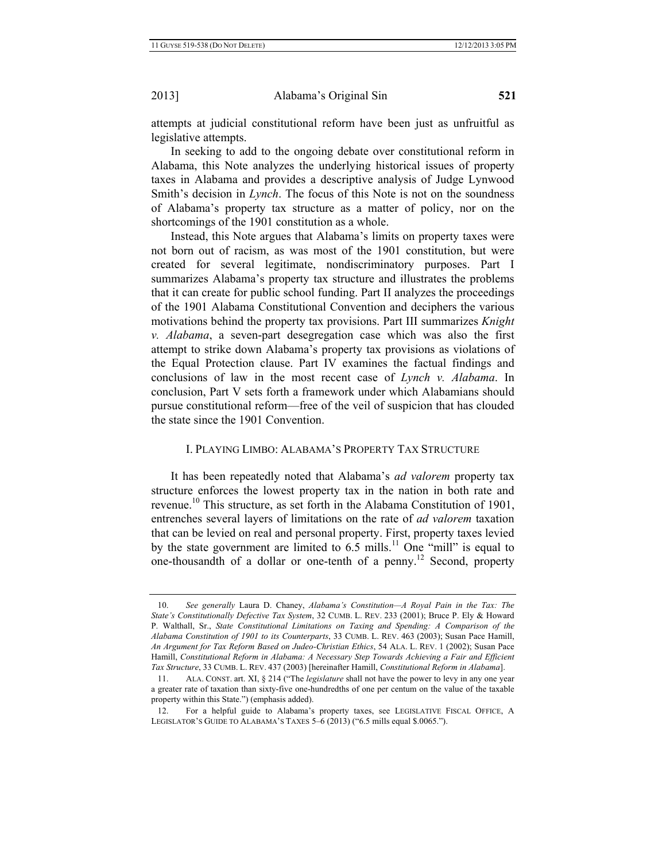attempts at judicial constitutional reform have been just as unfruitful as legislative attempts.

In seeking to add to the ongoing debate over constitutional reform in Alabama, this Note analyzes the underlying historical issues of property taxes in Alabama and provides a descriptive analysis of Judge Lynwood Smith's decision in *Lynch*. The focus of this Note is not on the soundness of Alabama's property tax structure as a matter of policy, nor on the shortcomings of the 1901 constitution as a whole.

Instead, this Note argues that Alabama's limits on property taxes were not born out of racism, as was most of the 1901 constitution, but were created for several legitimate, nondiscriminatory purposes. Part I summarizes Alabama's property tax structure and illustrates the problems that it can create for public school funding. Part II analyzes the proceedings of the 1901 Alabama Constitutional Convention and deciphers the various motivations behind the property tax provisions. Part III summarizes *Knight v. Alabama*, a seven-part desegregation case which was also the first attempt to strike down Alabama's property tax provisions as violations of the Equal Protection clause. Part IV examines the factual findings and conclusions of law in the most recent case of *Lynch v. Alabama*. In conclusion, Part V sets forth a framework under which Alabamians should pursue constitutional reform—free of the veil of suspicion that has clouded the state since the 1901 Convention.

### I. PLAYING LIMBO: ALABAMA'S PROPERTY TAX STRUCTURE

It has been repeatedly noted that Alabama's *ad valorem* property tax structure enforces the lowest property tax in the nation in both rate and revenue.10 This structure, as set forth in the Alabama Constitution of 1901, entrenches several layers of limitations on the rate of *ad valorem* taxation that can be levied on real and personal property. First, property taxes levied by the state government are limited to  $6.5$  mills.<sup>11</sup> One "mill" is equal to one-thousandth of a dollar or one-tenth of a penny.12 Second, property

<sup>10.</sup> *See generally* Laura D. Chaney, *Alabama's Constitution—A Royal Pain in the Tax: The State's Constitutionally Defective Tax System*, 32 CUMB. L. REV. 233 (2001); Bruce P. Ely & Howard P. Walthall, Sr., *State Constitutional Limitations on Taxing and Spending: A Comparison of the Alabama Constitution of 1901 to its Counterparts*, 33 CUMB. L. REV. 463 (2003); Susan Pace Hamill, *An Argument for Tax Reform Based on Judeo-Christian Ethics*, 54 ALA. L. REV. 1 (2002); Susan Pace Hamill, *Constitutional Reform in Alabama: A Necessary Step Towards Achieving a Fair and Efficient Tax Structure*, 33 CUMB. L. REV. 437 (2003) [hereinafter Hamill, *Constitutional Reform in Alabama*].

<sup>11.</sup> ALA. CONST. art. XI, § 214 ("The *legislature* shall not have the power to levy in any one year a greater rate of taxation than sixty-five one-hundredths of one per centum on the value of the taxable property within this State.") (emphasis added).

<sup>12.</sup> For a helpful guide to Alabama's property taxes, see LEGISLATIVE FISCAL OFFICE, A LEGISLATOR'S GUIDE TO ALABAMA'S TAXES 5–6 (2013) ("6.5 mills equal \$.0065.").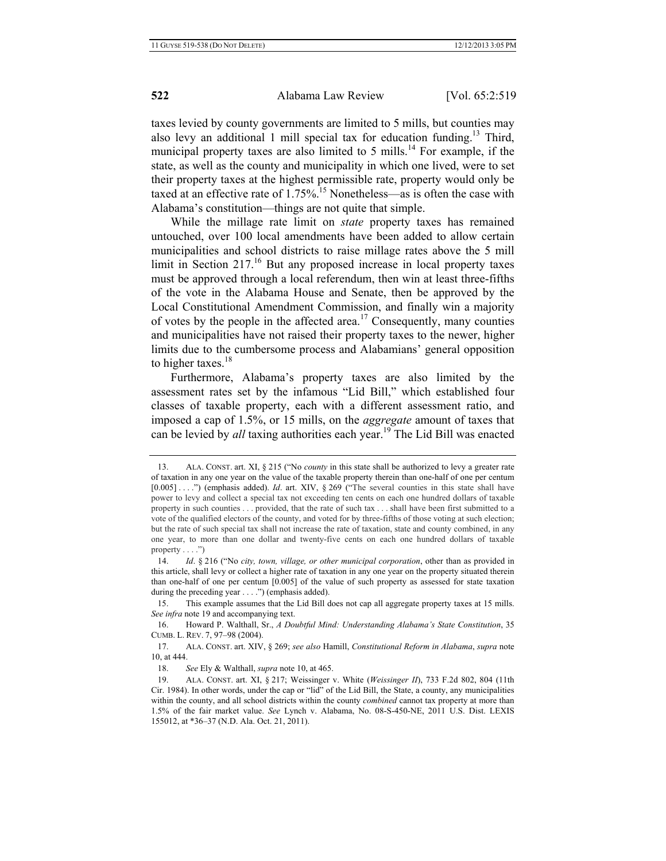taxes levied by county governments are limited to 5 mills, but counties may also levy an additional 1 mill special tax for education funding.<sup>13</sup> Third, municipal property taxes are also limited to 5 mills.<sup>14</sup> For example, if the state, as well as the county and municipality in which one lived, were to set their property taxes at the highest permissible rate, property would only be taxed at an effective rate of  $1.75\%$ <sup>15</sup> Nonetheless—as is often the case with Alabama's constitution—things are not quite that simple.

While the millage rate limit on *state* property taxes has remained untouched, over 100 local amendments have been added to allow certain municipalities and school districts to raise millage rates above the 5 mill limit in Section  $217<sup>16</sup>$  But any proposed increase in local property taxes must be approved through a local referendum, then win at least three-fifths of the vote in the Alabama House and Senate, then be approved by the Local Constitutional Amendment Commission, and finally win a majority of votes by the people in the affected area.<sup>17</sup> Consequently, many counties and municipalities have not raised their property taxes to the newer, higher limits due to the cumbersome process and Alabamians' general opposition to higher taxes. $18$ 

Furthermore, Alabama's property taxes are also limited by the assessment rates set by the infamous "Lid Bill," which established four classes of taxable property, each with a different assessment ratio, and imposed a cap of 1.5%, or 15 mills, on the *aggregate* amount of taxes that can be levied by *all* taxing authorities each year.<sup>19</sup> The Lid Bill was enacted

15. This example assumes that the Lid Bill does not cap all aggregate property taxes at 15 mills. *See infra* note 19 and accompanying text.

16. Howard P. Walthall, Sr., *A Doubtful Mind: Understanding Alabama's State Constitution*, 35 CUMB. L. REV. 7, 97–98 (2004).

17. ALA. CONST. art. XIV, § 269; *see also* Hamill, *Constitutional Reform in Alabama*, *supra* note 10, at 444.

18. *See* Ely & Walthall, *supra* note 10, at 465.

<sup>13.</sup> ALA. CONST. art. XI, § 215 ("No *county* in this state shall be authorized to levy a greater rate of taxation in any one year on the value of the taxable property therein than one-half of one per centum [0.005] . . . .") (emphasis added). *Id*. art. XIV, § 269 ("The several counties in this state shall have power to levy and collect a special tax not exceeding ten cents on each one hundred dollars of taxable property in such counties . . . provided, that the rate of such tax . . . shall have been first submitted to a vote of the qualified electors of the county, and voted for by three-fifths of those voting at such election; but the rate of such special tax shall not increase the rate of taxation, state and county combined, in any one year, to more than one dollar and twenty-five cents on each one hundred dollars of taxable property  $\dots$ .")

<sup>14.</sup> *Id*. § 216 ("No *city, town, village, or other municipal corporation*, other than as provided in this article, shall levy or collect a higher rate of taxation in any one year on the property situated therein than one-half of one per centum [0.005] of the value of such property as assessed for state taxation during the preceding year . . . .") (emphasis added).

<sup>19.</sup> ALA. CONST. art. XI, § 217; Weissinger v. White (*Weissinger II*), 733 F.2d 802, 804 (11th Cir. 1984). In other words, under the cap or "lid" of the Lid Bill, the State, a county, any municipalities within the county, and all school districts within the county *combined* cannot tax property at more than 1.5% of the fair market value. *See* Lynch v. Alabama, No. 08-S-450-NE, 2011 U.S. Dist. LEXIS 155012, at \*36–37 (N.D. Ala. Oct. 21, 2011).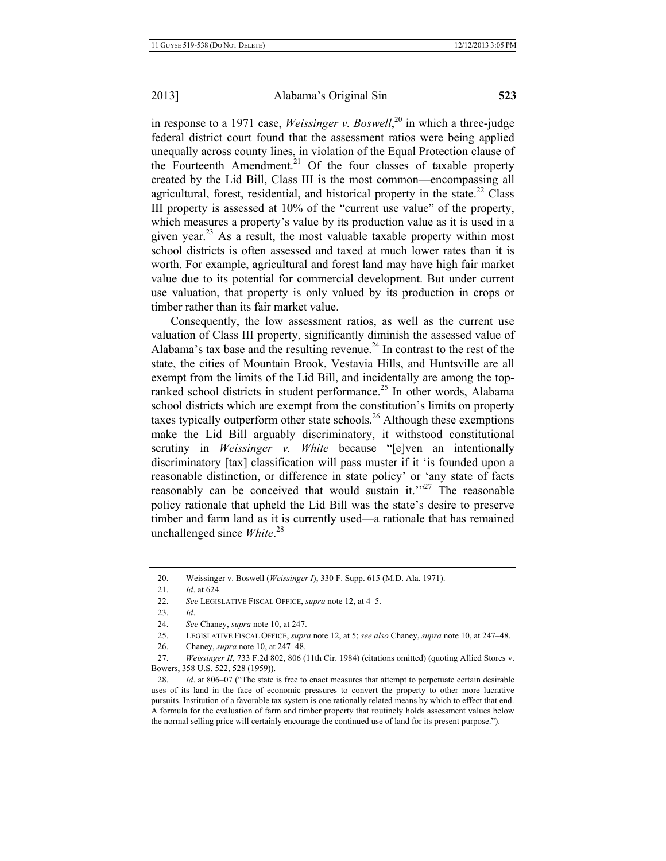in response to a 1971 case, *Weissinger v. Boswell*, 20 in which a three-judge federal district court found that the assessment ratios were being applied unequally across county lines, in violation of the Equal Protection clause of the Fourteenth Amendment.<sup>21</sup> Of the four classes of taxable property created by the Lid Bill, Class III is the most common—encompassing all agricultural, forest, residential, and historical property in the state.<sup>22</sup> Class III property is assessed at 10% of the "current use value" of the property, which measures a property's value by its production value as it is used in a given year.<sup>23</sup> As a result, the most valuable taxable property within most school districts is often assessed and taxed at much lower rates than it is worth. For example, agricultural and forest land may have high fair market value due to its potential for commercial development. But under current use valuation, that property is only valued by its production in crops or timber rather than its fair market value.

Consequently, the low assessment ratios, as well as the current use valuation of Class III property, significantly diminish the assessed value of Alabama's tax base and the resulting revenue.<sup>24</sup> In contrast to the rest of the state, the cities of Mountain Brook, Vestavia Hills, and Huntsville are all exempt from the limits of the Lid Bill, and incidentally are among the topranked school districts in student performance.<sup>25</sup> In other words, Alabama school districts which are exempt from the constitution's limits on property taxes typically outperform other state schools.<sup>26</sup> Although these exemptions make the Lid Bill arguably discriminatory, it withstood constitutional scrutiny in *Weissinger v. White* because "[e]ven an intentionally discriminatory [tax] classification will pass muster if it 'is founded upon a reasonable distinction, or difference in state policy' or 'any state of facts reasonably can be conceived that would sustain it. $127$  The reasonable policy rationale that upheld the Lid Bill was the state's desire to preserve timber and farm land as it is currently used—a rationale that has remained unchallenged since *White*. 28

<sup>20.</sup> Weissinger v. Boswell (*Weissinger I*), 330 F. Supp. 615 (M.D. Ala. 1971).

<sup>21.</sup> *Id*. at 624.

<sup>22.</sup> *See* LEGISLATIVE FISCAL OFFICE, *supra* note 12, at 4–5.

<sup>23.</sup> *Id*.

<sup>24.</sup> *See* Chaney, *supra* note 10, at 247.

<sup>25.</sup> LEGISLATIVE FISCAL OFFICE, *supra* note 12, at 5; *see also* Chaney, *supra* note 10, at 247–48.

<sup>26.</sup> Chaney, *supra* note 10, at 247–48.

<sup>27.</sup> *Weissinger II*, 733 F.2d 802, 806 (11th Cir. 1984) (citations omitted) (quoting Allied Stores v. Bowers, 358 U.S. 522, 528 (1959)).

<sup>28.</sup> *Id*. at 806–07 ("The state is free to enact measures that attempt to perpetuate certain desirable uses of its land in the face of economic pressures to convert the property to other more lucrative pursuits. Institution of a favorable tax system is one rationally related means by which to effect that end. A formula for the evaluation of farm and timber property that routinely holds assessment values below the normal selling price will certainly encourage the continued use of land for its present purpose.").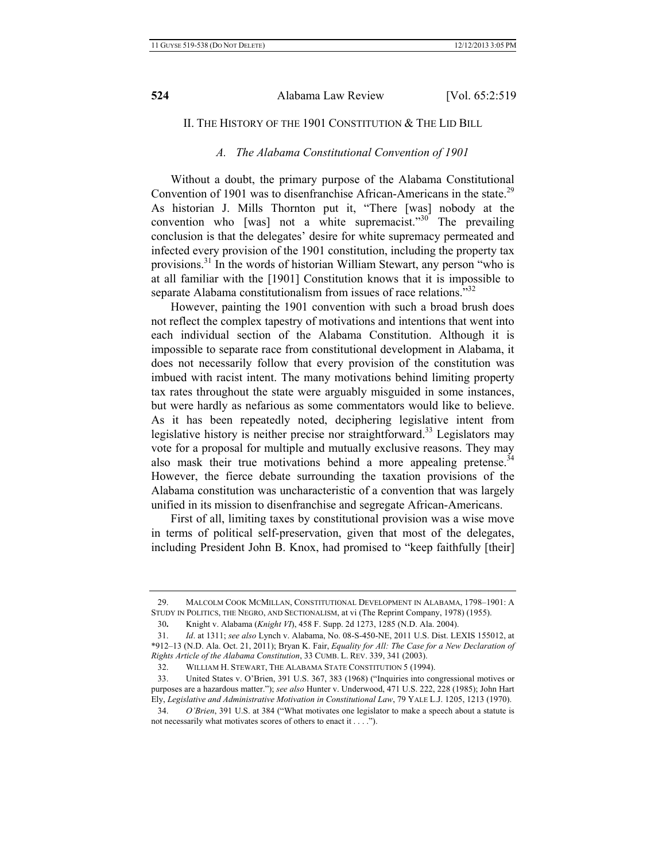### II. THE HISTORY OF THE 1901 CONSTITUTION & THE LID BILL

#### *A. The Alabama Constitutional Convention of 1901*

Without a doubt, the primary purpose of the Alabama Constitutional Convention of 1901 was to disenfranchise African-Americans in the state.<sup>29</sup> As historian J. Mills Thornton put it, "There [was] nobody at the convention who [was] not a white supremacist." $30$  The prevailing conclusion is that the delegates' desire for white supremacy permeated and infected every provision of the 1901 constitution, including the property tax provisions.31 In the words of historian William Stewart, any person "who is at all familiar with the [1901] Constitution knows that it is impossible to separate Alabama constitutionalism from issues of race relations."<sup>32</sup>

However, painting the 1901 convention with such a broad brush does not reflect the complex tapestry of motivations and intentions that went into each individual section of the Alabama Constitution. Although it is impossible to separate race from constitutional development in Alabama, it does not necessarily follow that every provision of the constitution was imbued with racist intent. The many motivations behind limiting property tax rates throughout the state were arguably misguided in some instances, but were hardly as nefarious as some commentators would like to believe. As it has been repeatedly noted, deciphering legislative intent from legislative history is neither precise nor straightforward.<sup>33</sup> Legislators may vote for a proposal for multiple and mutually exclusive reasons. They may also mask their true motivations behind a more appealing pretense.<sup>34</sup> However, the fierce debate surrounding the taxation provisions of the Alabama constitution was uncharacteristic of a convention that was largely unified in its mission to disenfranchise and segregate African-Americans.

First of all, limiting taxes by constitutional provision was a wise move in terms of political self-preservation, given that most of the delegates, including President John B. Knox, had promised to "keep faithfully [their]

32. WILLIAM H. STEWART, THE ALABAMA STATE CONSTITUTION 5 (1994).

<sup>29.</sup> MALCOLM COOK MCMILLAN, CONSTITUTIONAL DEVELOPMENT IN ALABAMA, 1798–1901: A STUDY IN POLITICS, THE NEGRO, AND SECTIONALISM, at vi (The Reprint Company, 1978) (1955).

<sup>30</sup>**.** Knight v. Alabama (*Knight VI*), 458 F. Supp. 2d 1273, 1285 (N.D. Ala. 2004).

<sup>31.</sup> *Id*. at 1311; *see also* Lynch v. Alabama, No. 08-S-450-NE, 2011 U.S. Dist. LEXIS 155012, at \*912–13 (N.D. Ala. Oct. 21, 2011); Bryan K. Fair, *Equality for All: The Case for a New Declaration of Rights Article of the Alabama Constitution*, 33 CUMB. L. REV. 339, 341 (2003).

<sup>33.</sup> United States v. O'Brien, 391 U.S. 367, 383 (1968) ("Inquiries into congressional motives or purposes are a hazardous matter."); *see also* Hunter v. Underwood, 471 U.S. 222, 228 (1985); John Hart Ely, *Legislative and Administrative Motivation in Constitutional Law*, 79 YALE L.J. 1205, 1213 (1970).

<sup>34.</sup> *O'Brien*, 391 U.S. at 384 ("What motivates one legislator to make a speech about a statute is not necessarily what motivates scores of others to enact it . . . .").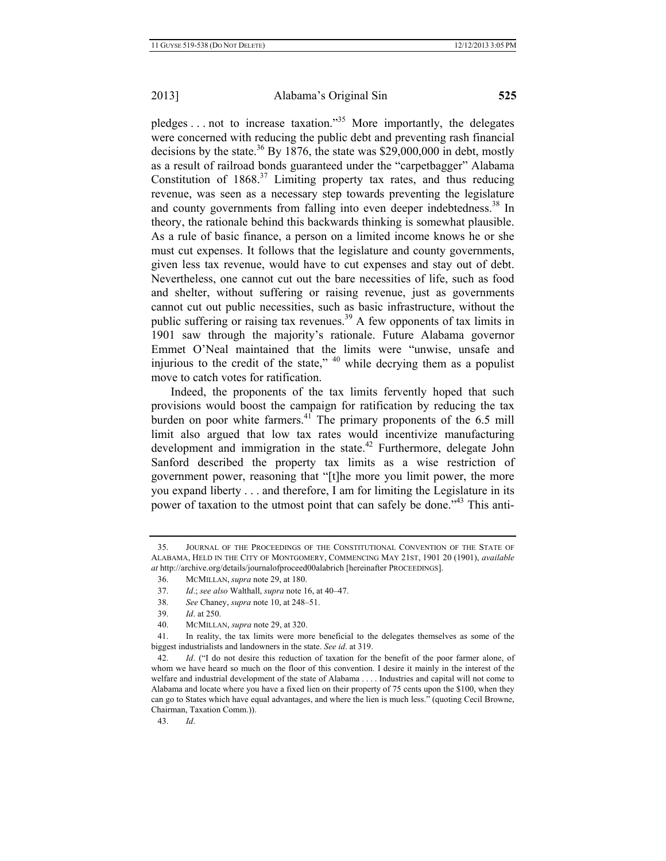pledges . . . not to increase taxation."<sup>35</sup> More importantly, the delegates were concerned with reducing the public debt and preventing rash financial decisions by the state.<sup>36</sup> By 1876, the state was \$29,000,000 in debt, mostly as a result of railroad bonds guaranteed under the "carpetbagger" Alabama Constitution of  $1868$ .<sup>37</sup> Limiting property tax rates, and thus reducing revenue, was seen as a necessary step towards preventing the legislature and county governments from falling into even deeper indebtedness.<sup>38</sup> In theory, the rationale behind this backwards thinking is somewhat plausible. As a rule of basic finance, a person on a limited income knows he or she must cut expenses. It follows that the legislature and county governments, given less tax revenue, would have to cut expenses and stay out of debt. Nevertheless, one cannot cut out the bare necessities of life, such as food and shelter, without suffering or raising revenue, just as governments cannot cut out public necessities, such as basic infrastructure, without the public suffering or raising tax revenues.<sup>39</sup> A few opponents of tax limits in 1901 saw through the majority's rationale. Future Alabama governor Emmet O'Neal maintained that the limits were "unwise, unsafe and injurious to the credit of the state,"  $40$  while decrying them as a populist move to catch votes for ratification.

Indeed, the proponents of the tax limits fervently hoped that such provisions would boost the campaign for ratification by reducing the tax burden on poor white farmers. $4^{\circ}$  The primary proponents of the 6.5 mill limit also argued that low tax rates would incentivize manufacturing development and immigration in the state.<sup>42</sup> Furthermore, delegate John Sanford described the property tax limits as a wise restriction of government power, reasoning that "[t]he more you limit power, the more you expand liberty . . . and therefore, I am for limiting the Legislature in its power of taxation to the utmost point that can safely be done."43 This anti-

43. *Id*.

<sup>35.</sup> JOURNAL OF THE PROCEEDINGS OF THE CONSTITUTIONAL CONVENTION OF THE STATE OF ALABAMA, HELD IN THE CITY OF MONTGOMERY, COMMENCING MAY 21ST, 1901 20 (1901), *available at* http://archive.org/details/journalofproceed00alabrich [hereinafter PROCEEDINGS].

<sup>36.</sup> MCMILLAN, *supra* note 29, at 180.

<sup>37.</sup> *Id*.; *see also* Walthall, *supra* note 16, at 40–47.

<sup>38.</sup> *See* Chaney, *supra* note 10, at 248–51.

<sup>39.</sup> *Id*. at 250.

<sup>40.</sup> MCMILLAN, *supra* note 29, at 320.

<sup>41.</sup> In reality, the tax limits were more beneficial to the delegates themselves as some of the biggest industrialists and landowners in the state. *See id*. at 319.

<sup>42.</sup> *Id*. ("I do not desire this reduction of taxation for the benefit of the poor farmer alone, of whom we have heard so much on the floor of this convention. I desire it mainly in the interest of the welfare and industrial development of the state of Alabama . . . . Industries and capital will not come to Alabama and locate where you have a fixed lien on their property of 75 cents upon the \$100, when they can go to States which have equal advantages, and where the lien is much less." (quoting Cecil Browne, Chairman, Taxation Comm.)).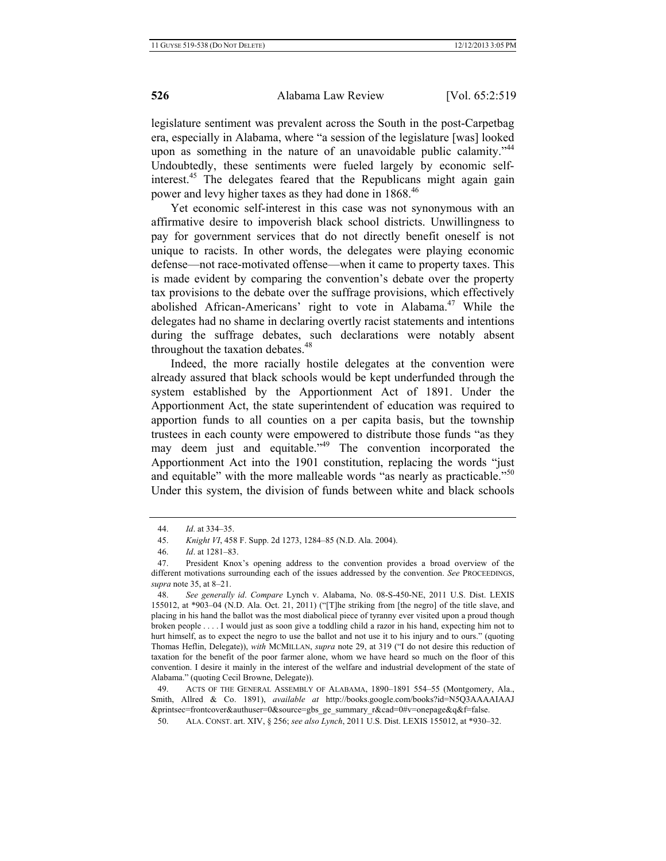legislature sentiment was prevalent across the South in the post-Carpetbag era, especially in Alabama, where "a session of the legislature [was] looked upon as something in the nature of an unavoidable public calamity."<sup>44</sup> Undoubtedly, these sentiments were fueled largely by economic selfinterest.<sup>45</sup> The delegates feared that the Republicans might again gain power and levy higher taxes as they had done in 1868.<sup>46</sup>

Yet economic self-interest in this case was not synonymous with an affirmative desire to impoverish black school districts. Unwillingness to pay for government services that do not directly benefit oneself is not unique to racists. In other words, the delegates were playing economic defense—not race-motivated offense—when it came to property taxes. This is made evident by comparing the convention's debate over the property tax provisions to the debate over the suffrage provisions, which effectively abolished African-Americans' right to vote in Alabama.<sup>47</sup> While the delegates had no shame in declaring overtly racist statements and intentions during the suffrage debates, such declarations were notably absent throughout the taxation debates.<sup>48</sup>

Indeed, the more racially hostile delegates at the convention were already assured that black schools would be kept underfunded through the system established by the Apportionment Act of 1891. Under the Apportionment Act, the state superintendent of education was required to apportion funds to all counties on a per capita basis, but the township trustees in each county were empowered to distribute those funds "as they may deem just and equitable."49 The convention incorporated the Apportionment Act into the 1901 constitution, replacing the words "just and equitable" with the more malleable words "as nearly as practicable."<sup>50</sup> Under this system, the division of funds between white and black schools

49. ACTS OF THE GENERAL ASSEMBLY OF ALABAMA, 1890–1891 554–55 (Montgomery, Ala., Smith, Allred & Co. 1891), *available at* http://books.google.com/books?id=N5Q3AAAAIAAJ &printsec=frontcover&authuser=0&source=gbs\_ge\_summary\_r&cad=0#v=onepage&q&f=false.

<sup>44.</sup> *Id*. at 334–35.

<sup>45.</sup> *Knight VI*, 458 F. Supp. 2d 1273, 1284–85 (N.D. Ala. 2004).

<sup>46.</sup> *Id*. at 1281–83.

<sup>47.</sup> President Knox's opening address to the convention provides a broad overview of the different motivations surrounding each of the issues addressed by the convention. *See* PROCEEDINGS, *supra* note 35, at 8–21.

<sup>48.</sup> *See generally id*. *Compare* Lynch v. Alabama, No. 08-S-450-NE, 2011 U.S. Dist. LEXIS 155012, at \*903–04 (N.D. Ala. Oct. 21, 2011) ("[T]he striking from [the negro] of the title slave, and placing in his hand the ballot was the most diabolical piece of tyranny ever visited upon a proud though broken people . . . . I would just as soon give a toddling child a razor in his hand, expecting him not to hurt himself, as to expect the negro to use the ballot and not use it to his injury and to ours." (quoting Thomas Heflin, Delegate)), *with* MCMILLAN, *supra* note 29, at 319 ("I do not desire this reduction of taxation for the benefit of the poor farmer alone, whom we have heard so much on the floor of this convention. I desire it mainly in the interest of the welfare and industrial development of the state of Alabama." (quoting Cecil Browne, Delegate)).

<sup>50.</sup> ALA. CONST. art. XIV, § 256; *see also Lynch*, 2011 U.S. Dist. LEXIS 155012, at \*930–32.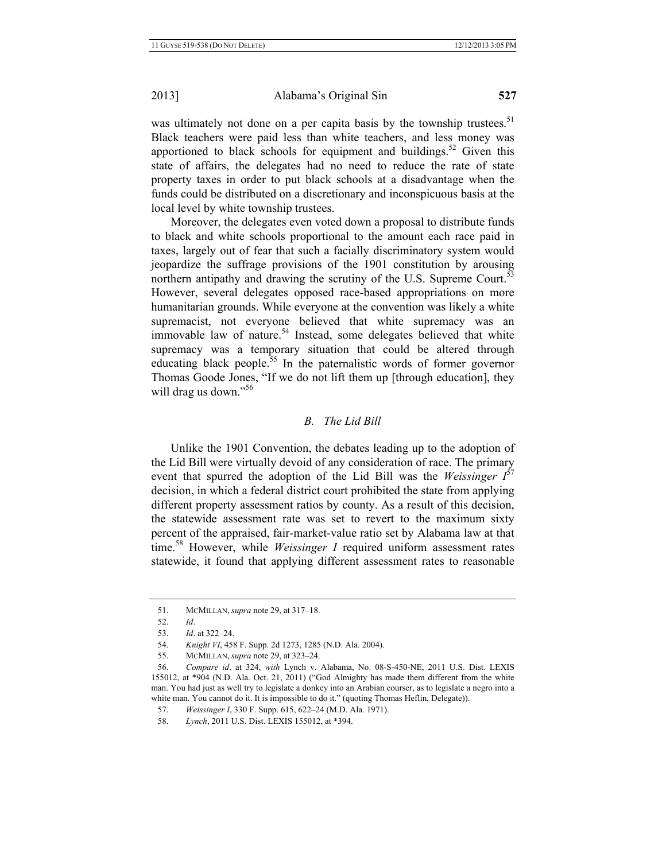was ultimately not done on a per capita basis by the township trustees.<sup>51</sup> Black teachers were paid less than white teachers, and less money was apportioned to black schools for equipment and buildings.<sup>52</sup> Given this state of affairs, the delegates had no need to reduce the rate of state property taxes in order to put black schools at a disadvantage when the funds could be distributed on a discretionary and inconspicuous basis at the local level by white township trustees.

Moreover, the delegates even voted down a proposal to distribute funds to black and white schools proportional to the amount each race paid in taxes, largely out of fear that such a facially discriminatory system would jeopardize the suffrage provisions of the 1901 constitution by arousing northern antipathy and drawing the scrutiny of the U.S. Supreme Court. $53$ However, several delegates opposed race-based appropriations on more humanitarian grounds. While everyone at the convention was likely a white supremacist, not everyone believed that white supremacy was an immovable law of nature.<sup>54</sup> Instead, some delegates believed that white supremacy was a temporary situation that could be altered through educating black people.<sup>55</sup> In the paternalistic words of former governor Thomas Goode Jones, "If we do not lift them up [through education], they will drag us down."<sup>56</sup>

# *B. The Lid Bill*

Unlike the 1901 Convention, the debates leading up to the adoption of the Lid Bill were virtually devoid of any consideration of race. The primary event that spurred the adoption of the Lid Bill was the *Weissinger I* 57 decision, in which a federal district court prohibited the state from applying different property assessment ratios by county. As a result of this decision, the statewide assessment rate was set to revert to the maximum sixty percent of the appraised, fair-market-value ratio set by Alabama law at that time.58 However, while *Weissinger I* required uniform assessment rates statewide, it found that applying different assessment rates to reasonable

<sup>51.</sup> MCMILLAN, *supra* note 29, at 317–18.

<sup>52.</sup> *Id*.

<sup>53.</sup> *Id*. at 322–24.

<sup>54.</sup> *Knight VI*, 458 F. Supp. 2d 1273, 1285 (N.D. Ala. 2004).

<sup>55.</sup> MCMILLAN, *supra* note 29, at 323–24.

<sup>56.</sup> *Compare id*. at 324, *with* Lynch v. Alabama, No. 08-S-450-NE, 2011 U.S. Dist. LEXIS 155012, at \*904 (N.D. Ala. Oct. 21, 2011) ("God Almighty has made them different from the white man. You had just as well try to legislate a donkey into an Arabian courser, as to legislate a negro into a white man. You cannot do it. It is impossible to do it." (quoting Thomas Heflin, Delegate)).

<sup>57.</sup> *Weissinger I*, 330 F. Supp. 615, 622–24 (M.D. Ala. 1971).

<sup>58.</sup> *Lynch*, 2011 U.S. Dist. LEXIS 155012, at \*394.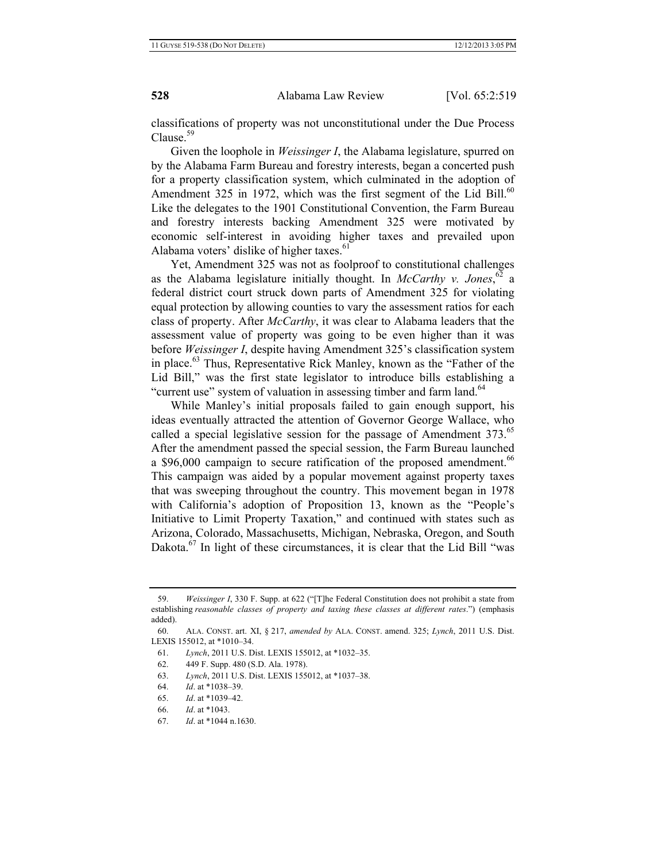classifications of property was not unconstitutional under the Due Process Clause.<sup>59</sup>

Given the loophole in *Weissinger I*, the Alabama legislature, spurred on by the Alabama Farm Bureau and forestry interests, began a concerted push for a property classification system, which culminated in the adoption of Amendment 325 in 1972, which was the first segment of the Lid Bill.<sup>60</sup> Like the delegates to the 1901 Constitutional Convention, the Farm Bureau and forestry interests backing Amendment 325 were motivated by economic self-interest in avoiding higher taxes and prevailed upon Alabama voters' dislike of higher taxes.<sup>61</sup>

Yet, Amendment 325 was not as foolproof to constitutional challenges as the Alabama legislature initially thought. In *McCarthy v. Jones*,  $62$  a federal district court struck down parts of Amendment 325 for violating equal protection by allowing counties to vary the assessment ratios for each class of property. After *McCarthy*, it was clear to Alabama leaders that the assessment value of property was going to be even higher than it was before *Weissinger I*, despite having Amendment 325's classification system in place.63 Thus, Representative Rick Manley, known as the "Father of the Lid Bill," was the first state legislator to introduce bills establishing a "current use" system of valuation in assessing timber and farm land.<sup>64</sup>

While Manley's initial proposals failed to gain enough support, his ideas eventually attracted the attention of Governor George Wallace, who called a special legislative session for the passage of Amendment  $373$ .<sup>65</sup> After the amendment passed the special session, the Farm Bureau launched a \$96,000 campaign to secure ratification of the proposed amendment.<sup>66</sup> This campaign was aided by a popular movement against property taxes that was sweeping throughout the country. This movement began in 1978 with California's adoption of Proposition 13, known as the "People's Initiative to Limit Property Taxation," and continued with states such as Arizona, Colorado, Massachusetts, Michigan, Nebraska, Oregon, and South Dakota.<sup>67</sup> In light of these circumstances, it is clear that the Lid Bill "was

<sup>59.</sup> *Weissinger I*, 330 F. Supp. at 622 ("[T]he Federal Constitution does not prohibit a state from establishing *reasonable classes of property and taxing these classes at different rates*.") (emphasis added).

<sup>60.</sup> ALA. CONST. art. XI, § 217, *amended by* ALA. CONST. amend. 325; *Lynch*, 2011 U.S. Dist. LEXIS 155012, at \*1010–34.

<sup>61.</sup> *Lynch*, 2011 U.S. Dist. LEXIS 155012, at \*1032–35.

<sup>62. 449</sup> F. Supp. 480 (S.D. Ala. 1978).

<sup>63.</sup> *Lynch*, 2011 U.S. Dist. LEXIS 155012, at \*1037–38.

<sup>64.</sup> *Id*. at \*1038–39.

<sup>65.</sup> *Id*. at \*1039–42.

<sup>66.</sup> *Id*. at \*1043.

<sup>67.</sup> *Id*. at \*1044 n.1630.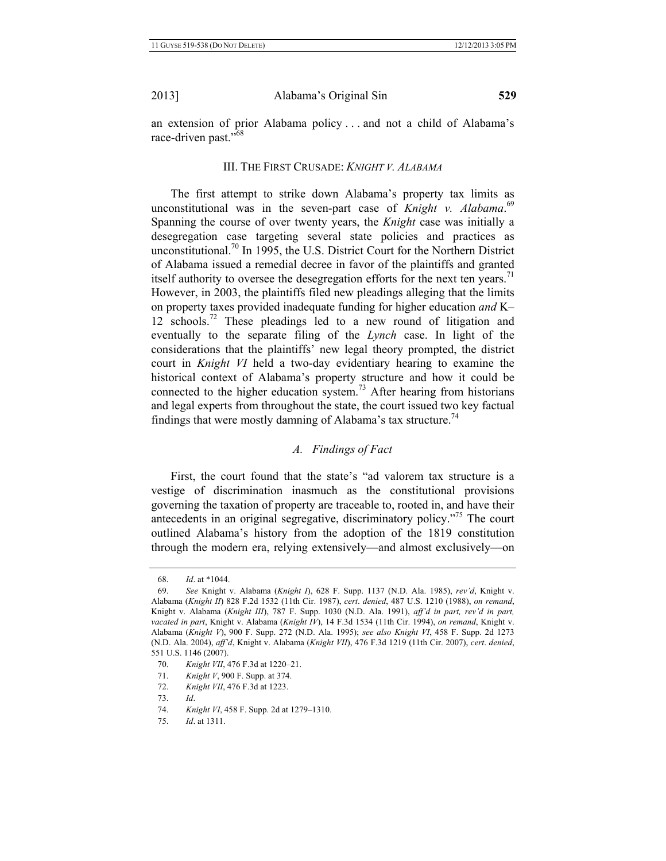an extension of prior Alabama policy . . . and not a child of Alabama's race-driven past."<sup>68</sup>

## III. THE FIRST CRUSADE: *KNIGHT V. ALABAMA*

The first attempt to strike down Alabama's property tax limits as unconstitutional was in the seven-part case of *Knight v. Alabama*. 69 Spanning the course of over twenty years, the *Knight* case was initially a desegregation case targeting several state policies and practices as unconstitutional.<sup>70</sup> In 1995, the U.S. District Court for the Northern District of Alabama issued a remedial decree in favor of the plaintiffs and granted itself authority to oversee the desegregation efforts for the next ten years.<sup>71</sup> However, in 2003, the plaintiffs filed new pleadings alleging that the limits on property taxes provided inadequate funding for higher education *and* K– 12 schools.72 These pleadings led to a new round of litigation and eventually to the separate filing of the *Lynch* case. In light of the considerations that the plaintiffs' new legal theory prompted, the district court in *Knight VI* held a two-day evidentiary hearing to examine the historical context of Alabama's property structure and how it could be connected to the higher education system.<sup>73</sup> After hearing from historians and legal experts from throughout the state, the court issued two key factual findings that were mostly damning of Alabama's tax structure.<sup>74</sup>

# *A. Findings of Fact*

First, the court found that the state's "ad valorem tax structure is a vestige of discrimination inasmuch as the constitutional provisions governing the taxation of property are traceable to, rooted in, and have their antecedents in an original segregative, discriminatory policy.<sup>775</sup> The court outlined Alabama's history from the adoption of the 1819 constitution through the modern era, relying extensively—and almost exclusively—on

<sup>68.</sup> *Id*. at \*1044.

<sup>69.</sup> *See* Knight v. Alabama (*Knight I*), 628 F. Supp. 1137 (N.D. Ala. 1985), *rev'd*, Knight v. Alabama (*Knight II*) 828 F.2d 1532 (11th Cir. 1987), *cert*. *denied*, 487 U.S. 1210 (1988), *on remand*, Knight v. Alabama (*Knight III*), 787 F. Supp. 1030 (N.D. Ala. 1991), *aff'd in part, rev'd in part, vacated in part*, Knight v. Alabama (*Knight IV*), 14 F.3d 1534 (11th Cir. 1994), *on remand*, Knight v. Alabama (*Knight V*), 900 F. Supp. 272 (N.D. Ala. 1995); *see also Knight VI*, 458 F. Supp. 2d 1273 (N.D. Ala. 2004), *aff'd*, Knight v. Alabama (*Knight VII*), 476 F.3d 1219 (11th Cir. 2007), *cert*. *denied*, 551 U.S. 1146 (2007).

<sup>70.</sup> *Knight VII*, 476 F.3d at 1220–21.

<sup>71.</sup> *Knight V*, 900 F. Supp. at 374.

<sup>72.</sup> *Knight VII*, 476 F.3d at 1223.

<sup>73.</sup> *Id*.

<sup>74.</sup> *Knight VI*, 458 F. Supp. 2d at 1279–1310.

<sup>75.</sup> *Id*. at 1311.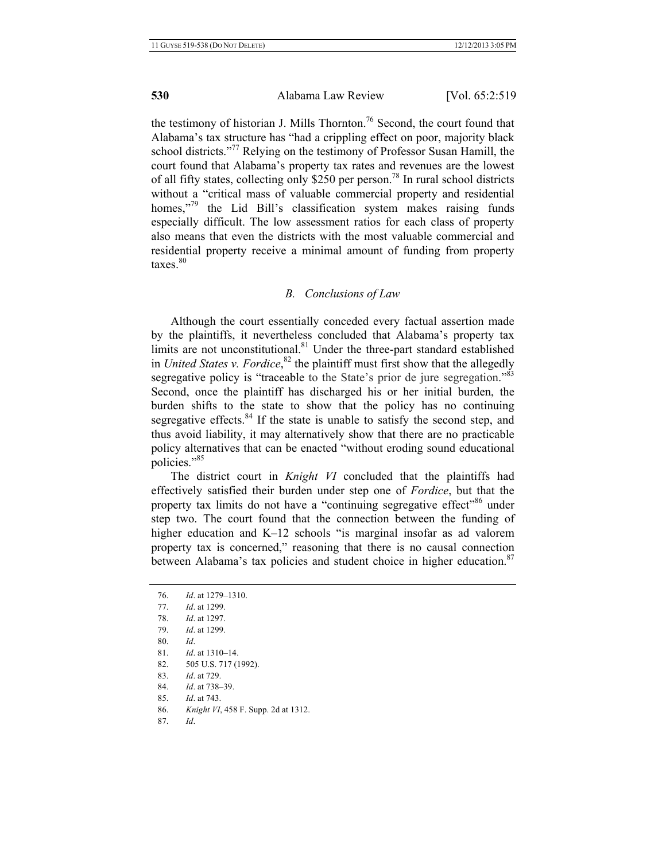the testimony of historian J. Mills Thornton.<sup>76</sup> Second, the court found that Alabama's tax structure has "had a crippling effect on poor, majority black school districts."<sup>77</sup> Relying on the testimony of Professor Susan Hamill, the court found that Alabama's property tax rates and revenues are the lowest of all fifty states, collecting only \$250 per person.<sup>78</sup> In rural school districts without a "critical mass of valuable commercial property and residential homes,"<sup>79</sup> the Lid Bill's classification system makes raising funds especially difficult. The low assessment ratios for each class of property also means that even the districts with the most valuable commercial and residential property receive a minimal amount of funding from property  $\text{taxes.}^{80}$ 

### *B. Conclusions of Law*

Although the court essentially conceded every factual assertion made by the plaintiffs, it nevertheless concluded that Alabama's property tax limits are not unconstitutional.<sup>81</sup> Under the three-part standard established in *United States v. Fordice*, 82 the plaintiff must first show that the allegedly segregative policy is "traceable to the State's prior de jure segregation."<sup>83</sup> Second, once the plaintiff has discharged his or her initial burden, the burden shifts to the state to show that the policy has no continuing segregative effects. $84$  If the state is unable to satisfy the second step, and thus avoid liability, it may alternatively show that there are no practicable policy alternatives that can be enacted "without eroding sound educational policies."85

The district court in *Knight VI* concluded that the plaintiffs had effectively satisfied their burden under step one of *Fordice*, but that the property tax limits do not have a "continuing segregative effect"<sup>86</sup> under step two. The court found that the connection between the funding of higher education and K–12 schools "is marginal insofar as ad valorem property tax is concerned," reasoning that there is no causal connection between Alabama's tax policies and student choice in higher education.<sup>87</sup>

| 76. | <i>Id.</i> at $1279 - 1310$ .               |
|-----|---------------------------------------------|
| 77. | Id at $1299$                                |
| 78. | <i>Id.</i> at 1297.                         |
| 79. | Id at $1299$                                |
| 80. | Id                                          |
| 81. | $Id$ at 1310–14                             |
| 82. | 505 U.S. 717 (1992).                        |
| 83. | <i>Id.</i> at 729.                          |
| 84  | $1d$ at $738-39$                            |
| 85. | Id at $743$                                 |
| 86  | <i>Knight VI</i> , 458 F. Supp. 2d at 1312. |
|     |                                             |

87. *Id*.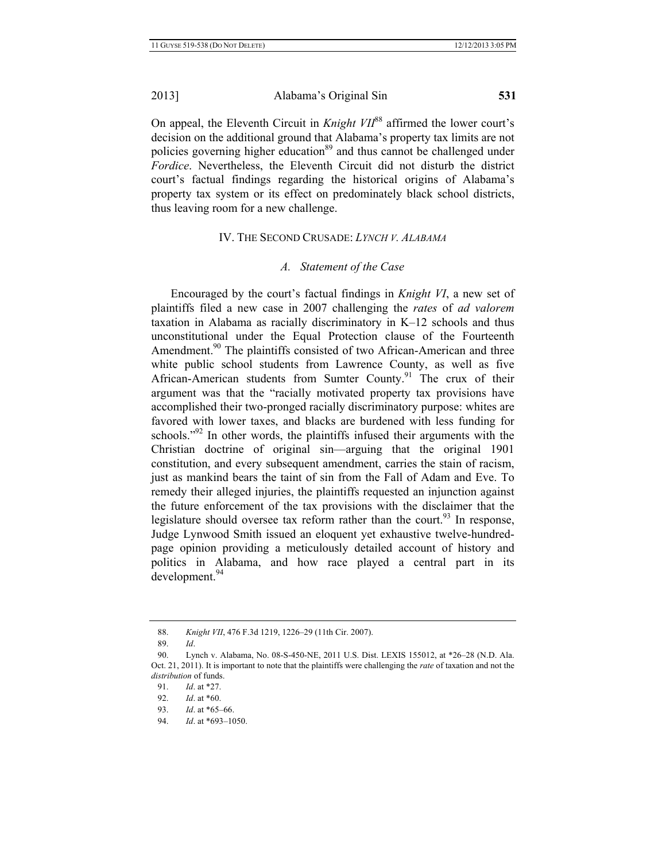On appeal, the Eleventh Circuit in *Knight VII*<sup>88</sup> affirmed the lower court's decision on the additional ground that Alabama's property tax limits are not policies governing higher education<sup>89</sup> and thus cannot be challenged under *Fordice*. Nevertheless, the Eleventh Circuit did not disturb the district court's factual findings regarding the historical origins of Alabama's property tax system or its effect on predominately black school districts, thus leaving room for a new challenge.

# IV. THE SECOND CRUSADE: *LYNCH V. ALABAMA*

# *A. Statement of the Case*

Encouraged by the court's factual findings in *Knight VI*, a new set of plaintiffs filed a new case in 2007 challenging the *rates* of *ad valorem*  taxation in Alabama as racially discriminatory in K–12 schools and thus unconstitutional under the Equal Protection clause of the Fourteenth Amendment.<sup>90</sup> The plaintiffs consisted of two African-American and three white public school students from Lawrence County, as well as five African-American students from Sumter County.<sup>91</sup> The crux of their argument was that the "racially motivated property tax provisions have accomplished their two-pronged racially discriminatory purpose: whites are favored with lower taxes, and blacks are burdened with less funding for schools."<sup>92</sup> In other words, the plaintiffs infused their arguments with the Christian doctrine of original sin—arguing that the original 1901 constitution, and every subsequent amendment, carries the stain of racism, just as mankind bears the taint of sin from the Fall of Adam and Eve. To remedy their alleged injuries, the plaintiffs requested an injunction against the future enforcement of the tax provisions with the disclaimer that the legislature should oversee tax reform rather than the court.<sup>93</sup> In response, Judge Lynwood Smith issued an eloquent yet exhaustive twelve-hundredpage opinion providing a meticulously detailed account of history and politics in Alabama, and how race played a central part in its development.<sup>94</sup>

<sup>88.</sup> *Knight VII*, 476 F.3d 1219, 1226–29 (11th Cir. 2007).

<sup>89.</sup> *Id*.

<sup>90.</sup> Lynch v. Alabama, No. 08-S-450-NE, 2011 U.S. Dist. LEXIS 155012, at \*26–28 (N.D. Ala. Oct. 21, 2011). It is important to note that the plaintiffs were challenging the *rate* of taxation and not the *distribution* of funds.

<sup>91.</sup> *Id*. at \*27.

<sup>92.</sup> *Id*. at \*60.

<sup>93.</sup> *Id*. at \*65–66.

<sup>94.</sup> *Id*. at \*693–1050.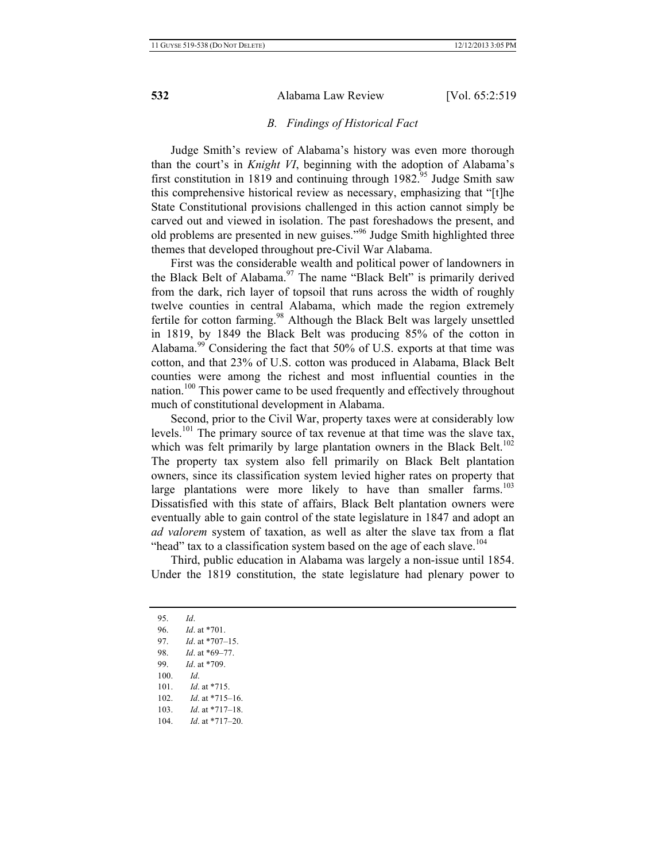### *B. Findings of Historical Fact*

Judge Smith's review of Alabama's history was even more thorough than the court's in *Knight VI*, beginning with the adoption of Alabama's first constitution in 1819 and continuing through  $1982^{95}$  Judge Smith saw this comprehensive historical review as necessary, emphasizing that "[t]he State Constitutional provisions challenged in this action cannot simply be carved out and viewed in isolation. The past foreshadows the present, and old problems are presented in new guises.<sup>"96</sup> Judge Smith highlighted three themes that developed throughout pre-Civil War Alabama.

First was the considerable wealth and political power of landowners in the Black Belt of Alabama.<sup>97</sup> The name "Black Belt" is primarily derived from the dark, rich layer of topsoil that runs across the width of roughly twelve counties in central Alabama, which made the region extremely fertile for cotton farming.<sup>98</sup> Although the Black Belt was largely unsettled in 1819, by 1849 the Black Belt was producing 85% of the cotton in Alabama.<sup>99</sup> Considering the fact that  $50\%$  of U.S. exports at that time was cotton, and that 23% of U.S. cotton was produced in Alabama, Black Belt counties were among the richest and most influential counties in the nation.100 This power came to be used frequently and effectively throughout much of constitutional development in Alabama.

Second, prior to the Civil War, property taxes were at considerably low levels.101 The primary source of tax revenue at that time was the slave tax, which was felt primarily by large plantation owners in the Black Belt.<sup>102</sup> The property tax system also fell primarily on Black Belt plantation owners, since its classification system levied higher rates on property that large plantations were more likely to have than smaller farms.<sup>103</sup> Dissatisfied with this state of affairs, Black Belt plantation owners were eventually able to gain control of the state legislature in 1847 and adopt an *ad valorem* system of taxation, as well as alter the slave tax from a flat "head" tax to a classification system based on the age of each slave.<sup>104</sup>

Third, public education in Alabama was largely a non-issue until 1854. Under the 1819 constitution, the state legislature had plenary power to

<sup>95.</sup> *Id*. 96. *Id*. at \*701. 97. *Id*. at \*707–15. 98. *Id*. at \*69–77. 99. *Id*. at \*709. 100. *Id*. 101. *Id*. at \*715. 102. *Id*. at \*715–16. 103. *Id*. at \*717–18. 104. *Id*. at \*717–20.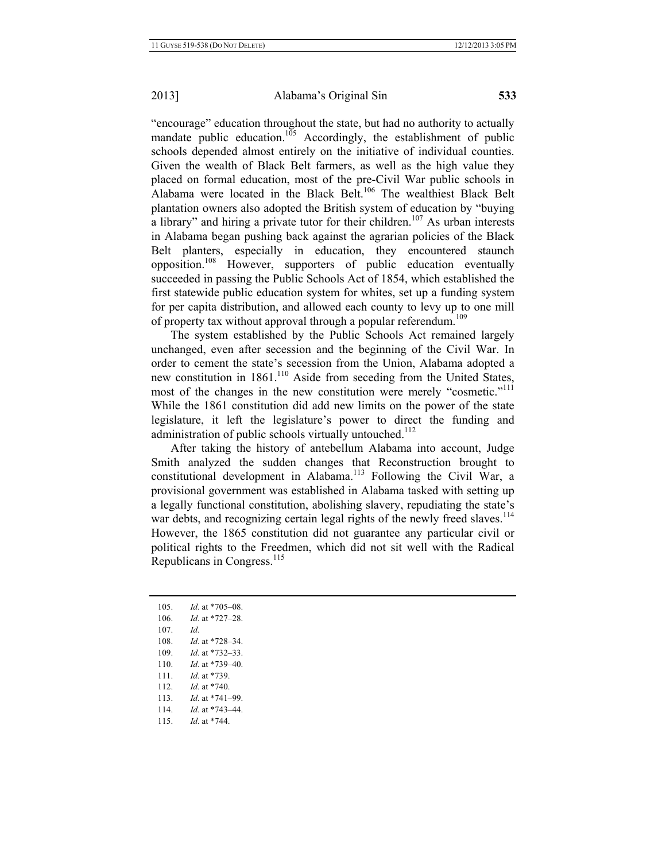"encourage" education throughout the state, but had no authority to actually mandate public education.<sup>105</sup> Accordingly, the establishment of public schools depended almost entirely on the initiative of individual counties. Given the wealth of Black Belt farmers, as well as the high value they placed on formal education, most of the pre-Civil War public schools in Alabama were located in the Black Belt.<sup>106</sup> The wealthiest Black Belt plantation owners also adopted the British system of education by "buying a library" and hiring a private tutor for their children.<sup>107</sup> As urban interests in Alabama began pushing back against the agrarian policies of the Black Belt planters, especially in education, they encountered staunch opposition.108 However, supporters of public education eventually succeeded in passing the Public Schools Act of 1854, which established the first statewide public education system for whites, set up a funding system for per capita distribution, and allowed each county to levy up to one mill of property tax without approval through a popular referendum.<sup>109</sup>

The system established by the Public Schools Act remained largely unchanged, even after secession and the beginning of the Civil War. In order to cement the state's secession from the Union, Alabama adopted a new constitution in 1861.<sup>110</sup> Aside from seceding from the United States, most of the changes in the new constitution were merely "cosmetic."<sup>111</sup> While the 1861 constitution did add new limits on the power of the state legislature, it left the legislature's power to direct the funding and administration of public schools virtually untouched.<sup>112</sup>

After taking the history of antebellum Alabama into account, Judge Smith analyzed the sudden changes that Reconstruction brought to constitutional development in Alabama.<sup>113</sup> Following the Civil War, a provisional government was established in Alabama tasked with setting up a legally functional constitution, abolishing slavery, repudiating the state's war debts, and recognizing certain legal rights of the newly freed slaves.<sup>114</sup> However, the 1865 constitution did not guarantee any particular civil or political rights to the Freedmen, which did not sit well with the Radical Republicans in Congress. $^{115}$ 

| 105. | <i>Id.</i> at *705–08. |
|------|------------------------|
| 106  | <i>Id.</i> at *727–28. |
| 107. | Id                     |
| 108. | <i>Id.</i> at *728–34. |
| 109. | <i>Id.</i> at *732–33. |
| 110. | $Id$ at *739-40        |
| 111. | $Id$ at $*739$         |
| 112  | <i>Id</i> at $*740$    |
| 113. | <i>Id.</i> at *741–99. |
| 114. | <i>Id.</i> at *743–44. |
| 115  | Id at $*744$           |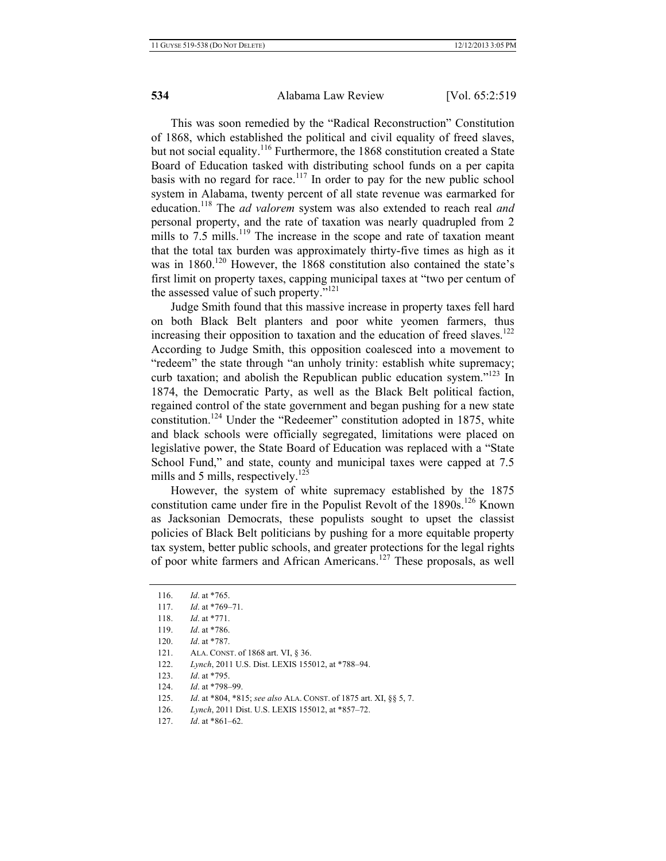This was soon remedied by the "Radical Reconstruction" Constitution of 1868, which established the political and civil equality of freed slaves, but not social equality.<sup>116</sup> Furthermore, the 1868 constitution created a State Board of Education tasked with distributing school funds on a per capita basis with no regard for race.<sup>117</sup> In order to pay for the new public school system in Alabama, twenty percent of all state revenue was earmarked for education.118 The *ad valorem* system was also extended to reach real *and* personal property, and the rate of taxation was nearly quadrupled from 2 mills to  $7.5$  mills.<sup>119</sup> The increase in the scope and rate of taxation meant that the total tax burden was approximately thirty-five times as high as it was in 1860.<sup>120</sup> However, the 1868 constitution also contained the state's first limit on property taxes, capping municipal taxes at "two per centum of the assessed value of such property."<sup>121</sup>

Judge Smith found that this massive increase in property taxes fell hard on both Black Belt planters and poor white yeomen farmers, thus increasing their opposition to taxation and the education of freed slaves.<sup>122</sup> According to Judge Smith, this opposition coalesced into a movement to "redeem" the state through "an unholy trinity: establish white supremacy; curb taxation; and abolish the Republican public education system."123 In 1874, the Democratic Party, as well as the Black Belt political faction, regained control of the state government and began pushing for a new state constitution.<sup>124</sup> Under the "Redeemer" constitution adopted in 1875, white and black schools were officially segregated, limitations were placed on legislative power, the State Board of Education was replaced with a "State School Fund," and state, county and municipal taxes were capped at 7.5 mills and 5 mills, respectively.<sup>125</sup>

However, the system of white supremacy established by the 1875 constitution came under fire in the Populist Revolt of the 1890s.<sup>126</sup> Known as Jacksonian Democrats, these populists sought to upset the classist policies of Black Belt politicians by pushing for a more equitable property tax system, better public schools, and greater protections for the legal rights of poor white farmers and African Americans.127 These proposals, as well

- 122. *Lynch*, 2011 U.S. Dist. LEXIS 155012, at \*788–94.
- 123. *Id*. at \*795.
- 124. *Id*. at \*798–99.
- 125. *Id*. at \*804, \*815; *see also* ALA. CONST. of 1875 art. XI, §§ 5, 7.
- 126. *Lynch*, 2011 Dist. U.S. LEXIS 155012, at \*857–72.
- 127. *Id*. at \*861–62.

<sup>116.</sup> *Id*. at \*765.

<sup>117.</sup> *Id*. at \*769–71.

<sup>118.</sup> *Id*. at \*771.

<sup>119.</sup> *Id*. at \*786.

<sup>120.</sup> *Id*. at \*787.

<sup>121.</sup> ALA. CONST. of 1868 art. VI, § 36.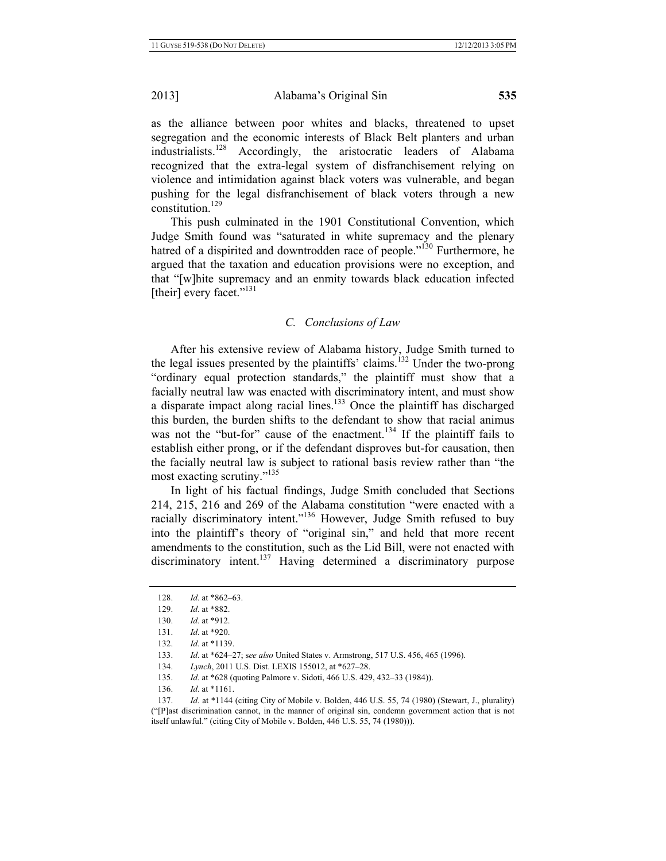as the alliance between poor whites and blacks, threatened to upset segregation and the economic interests of Black Belt planters and urban industrialists.<sup>128</sup> Accordingly, the aristocratic leaders of Alabama recognized that the extra-legal system of disfranchisement relying on violence and intimidation against black voters was vulnerable, and began pushing for the legal disfranchisement of black voters through a new constitution.129

This push culminated in the 1901 Constitutional Convention, which Judge Smith found was "saturated in white supremacy and the plenary hatred of a dispirited and downtrodden race of people."<sup>130</sup> Furthermore, he argued that the taxation and education provisions were no exception, and that "[w]hite supremacy and an enmity towards black education infected [their] every facet."<sup>131</sup>

## *C. Conclusions of Law*

After his extensive review of Alabama history, Judge Smith turned to the legal issues presented by the plaintiffs' claims.<sup>132</sup> Under the two-prong "ordinary equal protection standards," the plaintiff must show that a facially neutral law was enacted with discriminatory intent, and must show a disparate impact along racial lines.<sup>133</sup> Once the plaintiff has discharged this burden, the burden shifts to the defendant to show that racial animus was not the "but-for" cause of the enactment.<sup>134</sup> If the plaintiff fails to establish either prong, or if the defendant disproves but-for causation, then the facially neutral law is subject to rational basis review rather than "the most exacting scrutiny."135

In light of his factual findings, Judge Smith concluded that Sections 214, 215, 216 and 269 of the Alabama constitution "were enacted with a racially discriminatory intent."<sup>136</sup> However, Judge Smith refused to buy into the plaintiff's theory of "original sin," and held that more recent amendments to the constitution, such as the Lid Bill, were not enacted with discriminatory intent.<sup>137</sup> Having determined a discriminatory purpose

135. *Id*. at \*628 (quoting Palmore v. Sidoti, 466 U.S. 429, 432–33 (1984)).

<sup>128.</sup> *Id*. at \*862–63.

<sup>129.</sup> *Id*. at \*882.

<sup>130.</sup> *Id*. at \*912.

<sup>131.</sup> *Id*. at \*920.

<sup>132.</sup> *Id*. at \*1139.

<sup>133.</sup> *Id*. at \*624–27; s*ee also* United States v. Armstrong, 517 U.S. 456, 465 (1996).

<sup>134.</sup> *Lynch*, 2011 U.S. Dist. LEXIS 155012, at \*627–28.

<sup>136.</sup> *Id*. at \*1161.

<sup>137.</sup> *Id*. at \*1144 (citing City of Mobile v. Bolden, 446 U.S. 55, 74 (1980) (Stewart, J., plurality) ("[P]ast discrimination cannot, in the manner of original sin, condemn government action that is not itself unlawful." (citing City of Mobile v. Bolden, 446 U.S. 55, 74 (1980))).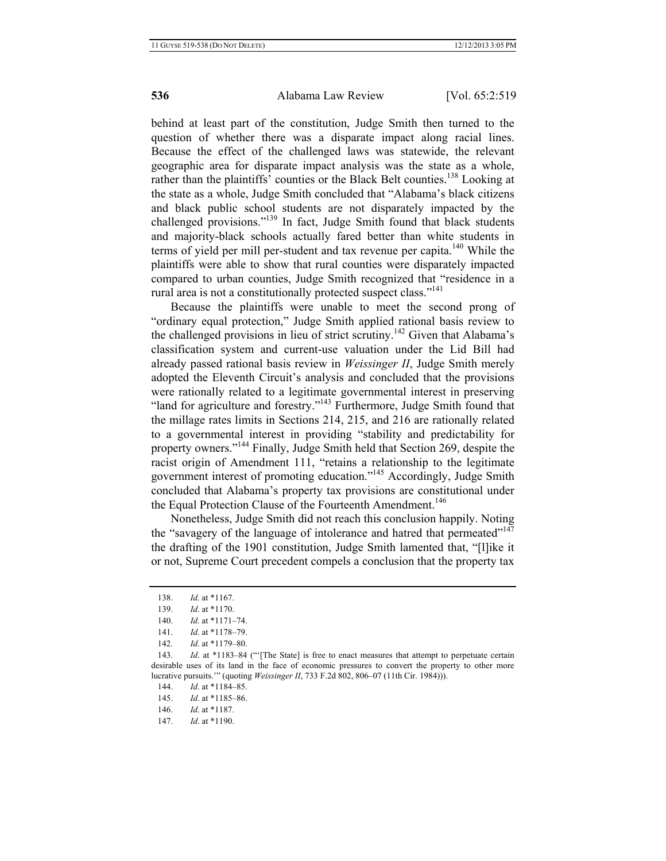behind at least part of the constitution, Judge Smith then turned to the question of whether there was a disparate impact along racial lines. Because the effect of the challenged laws was statewide, the relevant geographic area for disparate impact analysis was the state as a whole, rather than the plaintiffs' counties or the Black Belt counties.<sup>138</sup> Looking at the state as a whole, Judge Smith concluded that "Alabama's black citizens and black public school students are not disparately impacted by the challenged provisions."<sup>139</sup> In fact, Judge Smith found that black students and majority-black schools actually fared better than white students in terms of yield per mill per-student and tax revenue per capita.<sup>140</sup> While the plaintiffs were able to show that rural counties were disparately impacted compared to urban counties, Judge Smith recognized that "residence in a rural area is not a constitutionally protected suspect class."<sup>141</sup>

Because the plaintiffs were unable to meet the second prong of "ordinary equal protection," Judge Smith applied rational basis review to the challenged provisions in lieu of strict scrutiny.<sup>142</sup> Given that Alabama's classification system and current-use valuation under the Lid Bill had already passed rational basis review in *Weissinger II*, Judge Smith merely adopted the Eleventh Circuit's analysis and concluded that the provisions were rationally related to a legitimate governmental interest in preserving "land for agriculture and forestry."<sup>143</sup> Furthermore, Judge Smith found that the millage rates limits in Sections 214, 215, and 216 are rationally related to a governmental interest in providing "stability and predictability for property owners."144 Finally, Judge Smith held that Section 269, despite the racist origin of Amendment 111, "retains a relationship to the legitimate government interest of promoting education."145 Accordingly, Judge Smith concluded that Alabama's property tax provisions are constitutional under the Equal Protection Clause of the Fourteenth Amendment.<sup>146</sup>

Nonetheless, Judge Smith did not reach this conclusion happily. Noting the "savagery of the language of intolerance and hatred that permeated"<sup>147</sup> the drafting of the 1901 constitution, Judge Smith lamented that, "[l]ike it or not, Supreme Court precedent compels a conclusion that the property tax

147. *Id*. at \*1190.

<sup>138.</sup> *Id*. at \*1167.

<sup>139.</sup> *Id*. at \*1170.

<sup>140.</sup> *Id*. at \*1171–74.

<sup>141.</sup> *Id*. at \*1178–79.

<sup>142.</sup> *Id*. at \*1179–80.

<sup>143.</sup> *Id.* at \*1183–84 ("The State] is free to enact measures that attempt to perpetuate certain desirable uses of its land in the face of economic pressures to convert the property to other more lucrative pursuits.'" (quoting *Weissinger II*, 733 F.2d 802, 806–07 (11th Cir. 1984))).

<sup>144.</sup> *Id*. at \*1184–85.

<sup>145.</sup> *Id*. at \*1185–86.

<sup>146.</sup> *Id*. at \*1187.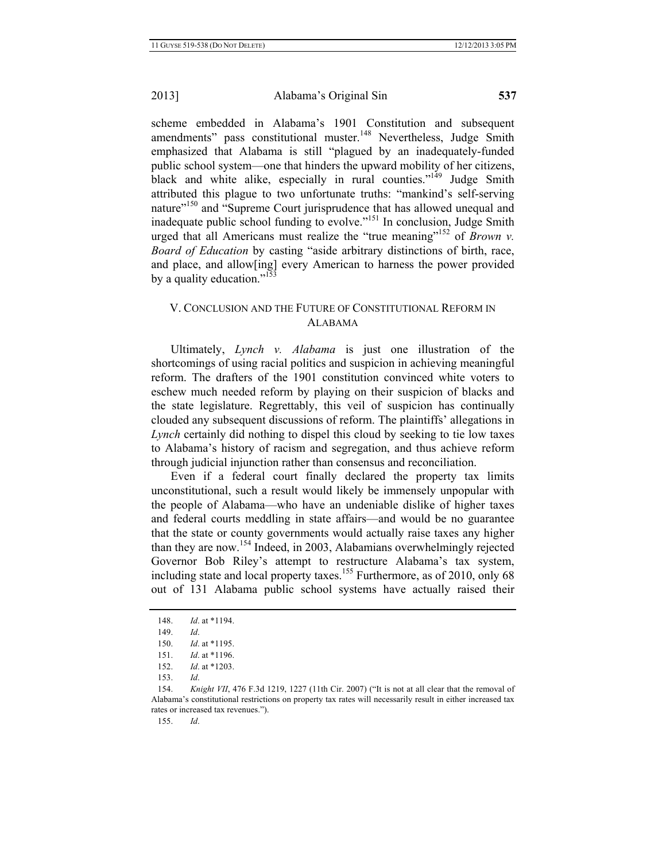scheme embedded in Alabama's 1901 Constitution and subsequent amendments" pass constitutional muster.<sup>148</sup> Nevertheless, Judge Smith emphasized that Alabama is still "plagued by an inadequately-funded public school system—one that hinders the upward mobility of her citizens, black and white alike, especially in rural counties."<sup>149</sup> Judge Smith attributed this plague to two unfortunate truths: "mankind's self-serving nature"<sup>150</sup> and "Supreme Court jurisprudence that has allowed unequal and inadequate public school funding to evolve."<sup>151</sup> In conclusion, Judge Smith urged that all Americans must realize the "true meaning"<sup>152</sup> of *Brown v*. *Board of Education* by casting "aside arbitrary distinctions of birth, race, and place, and allow[ing] every American to harness the power provided by a quality education."<sup>153</sup>

# V. CONCLUSION AND THE FUTURE OF CONSTITUTIONAL REFORM IN ALABAMA

Ultimately, *Lynch v. Alabama* is just one illustration of the shortcomings of using racial politics and suspicion in achieving meaningful reform. The drafters of the 1901 constitution convinced white voters to eschew much needed reform by playing on their suspicion of blacks and the state legislature. Regrettably, this veil of suspicion has continually clouded any subsequent discussions of reform. The plaintiffs' allegations in *Lynch* certainly did nothing to dispel this cloud by seeking to tie low taxes to Alabama's history of racism and segregation, and thus achieve reform through judicial injunction rather than consensus and reconciliation.

Even if a federal court finally declared the property tax limits unconstitutional, such a result would likely be immensely unpopular with the people of Alabama—who have an undeniable dislike of higher taxes and federal courts meddling in state affairs—and would be no guarantee that the state or county governments would actually raise taxes any higher than they are now.154 Indeed, in 2003, Alabamians overwhelmingly rejected Governor Bob Riley's attempt to restructure Alabama's tax system, including state and local property taxes.<sup>155</sup> Furthermore, as of 2010, only 68 out of 131 Alabama public school systems have actually raised their

<sup>148.</sup> *Id*. at \*1194.

<sup>149.</sup> *Id*.

<sup>150.</sup> *Id*. at \*1195.

<sup>151.</sup> *Id*. at \*1196.

<sup>152.</sup> *Id*. at \*1203.

<sup>153.</sup> *Id*.

<sup>154.</sup> *Knight VII*, 476 F.3d 1219, 1227 (11th Cir. 2007) ("It is not at all clear that the removal of Alabama's constitutional restrictions on property tax rates will necessarily result in either increased tax rates or increased tax revenues.").

<sup>155.</sup> *Id*.